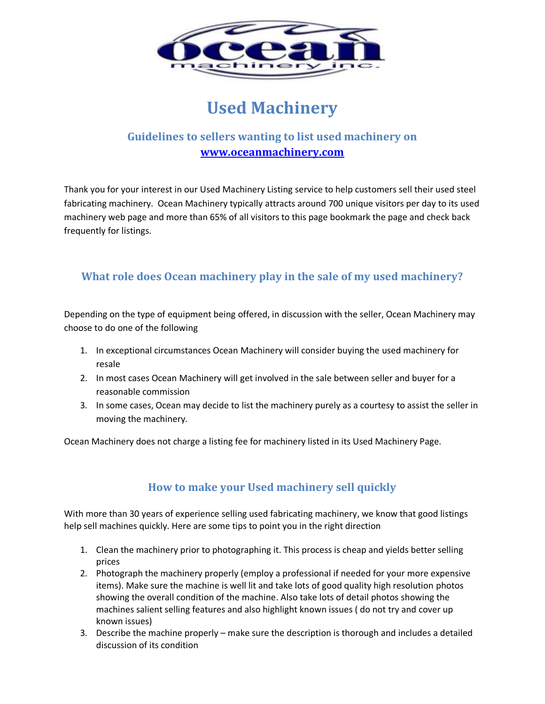

# **Used Machinery**

## **Guidelines to sellers wanting to list used machinery on [www.oceanmachinery.com](http://www.oceanmachinery.com/)**

Thank you for your interest in our Used Machinery Listing service to help customers sell their used steel fabricating machinery. Ocean Machinery typically attracts around 700 unique visitors per day to its used machinery web page and more than 65% of all visitors to this page bookmark the page and check back frequently for listings.

### **What role does Ocean machinery play in the sale of my used machinery?**

Depending on the type of equipment being offered, in discussion with the seller, Ocean Machinery may choose to do one of the following

- 1. In exceptional circumstances Ocean Machinery will consider buying the used machinery for resale
- 2. In most cases Ocean Machinery will get involved in the sale between seller and buyer for a reasonable commission
- 3. In some cases, Ocean may decide to list the machinery purely as a courtesy to assist the seller in moving the machinery.

Ocean Machinery does not charge a listing fee for machinery listed in its Used Machinery Page.

## **How to make your Used machinery sell quickly**

With more than 30 years of experience selling used fabricating machinery, we know that good listings help sell machines quickly. Here are some tips to point you in the right direction

- 1. Clean the machinery prior to photographing it. This process is cheap and yields better selling prices
- 2. Photograph the machinery properly (employ a professional if needed for your more expensive items). Make sure the machine is well lit and take lots of good quality high resolution photos showing the overall condition of the machine. Also take lots of detail photos showing the machines salient selling features and also highlight known issues ( do not try and cover up known issues)
- 3. Describe the machine properly make sure the description is thorough and includes a detailed discussion of its condition